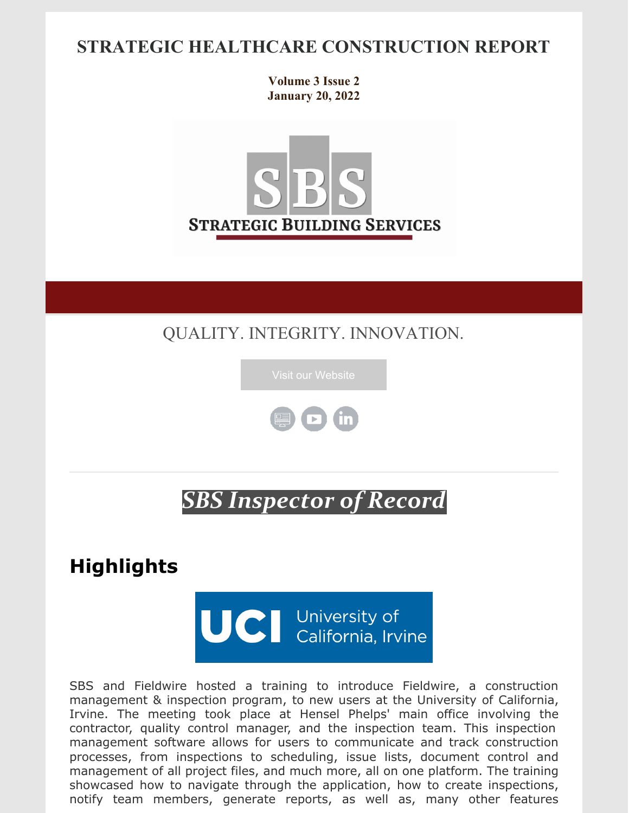### **STRATEGIC HEALTHCARE CONSTRUCTION REPORT**

**Volume 3 Issue 2 January 20, 2022**



QUALITY. INTEGRITY. INNOVATION.





# *SBS Inspector of Record*

**Highlights**

UCI University of<br>California, Irvine

SBS and Fieldwire hosted a training to introduce Fieldwire, a construction management & inspection program, to new users at the University of California, Irvine. The meeting took place at Hensel Phelps' main office involving the contractor, quality control manager, and the inspection team. This inspection management software allows for users to communicate and track construction processes, from inspections to scheduling, issue lists, document control and management of all project files, and much more, all on one platform. The training showcased how to navigate through the application, how to create inspections, notify team members, generate reports, as well as, many other features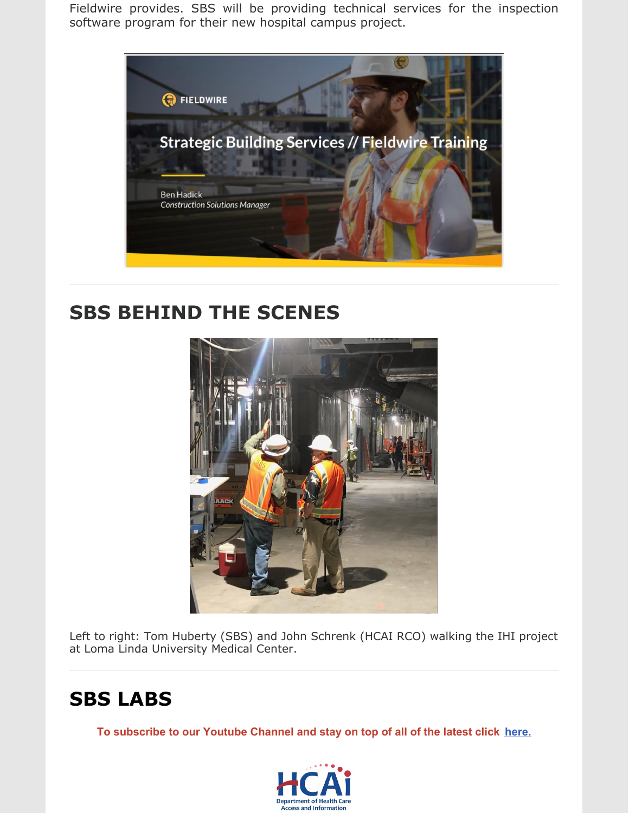Fieldwire provides. SBS will be providing technical services for the inspection software program for their new hospital campus project.



### **SBS BEHIND THE SCENES**



Left to right: Tom Huberty (SBS) and John Schrenk (HCAI RCO) walking the IHI project at Loma Linda University Medical Center.

## **SBS LABS**

**To subscribe to our Youtube Channel and stay on top of all of the latest click [here.](https://www.youtube.com/channel/UCfR7qiqf9X9tzNf1jD-an_Q)**

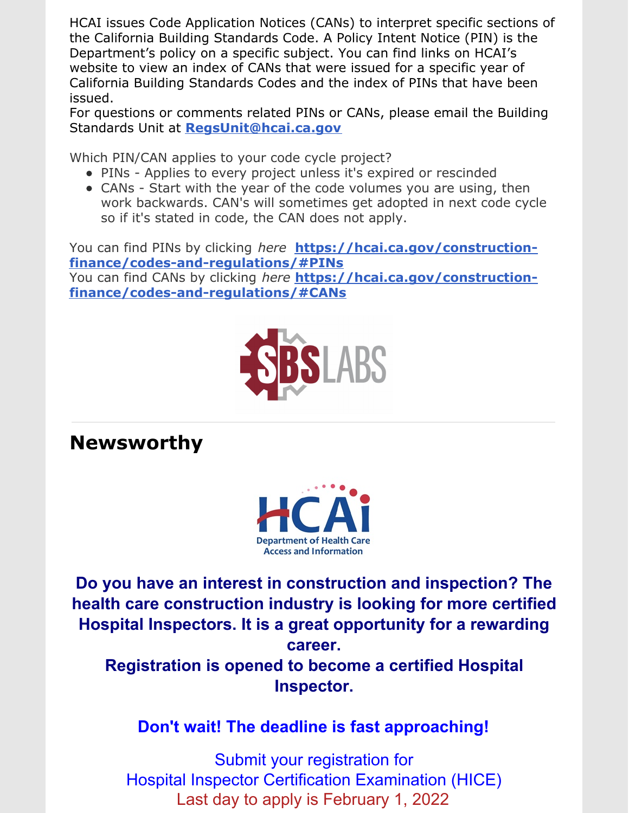HCAI issues Code Application Notices (CANs) to interpret specific sections of the California Building Standards Code. A Policy Intent Notice (PIN) is the Department's policy on a specific subject. You can find links on HCAI's website to view an index of CANs that were issued for a specific year of California Building Standards Codes and the index of PINs that have been issued.

For questions or comments related PINs or CANs, please email the Building Standards Unit at **[RegsUnit@hcai.ca.gov](mailto:RegsUnit@hcai.ca.gov)**

Which PIN/CAN applies to your code cycle project?

- PINs Applies to every project unless it's expired or rescinded
- CANs Start with the year of the code volumes you are using, then work backwards. CAN's will sometimes get adopted in next code cycle so if it's stated in code, the CAN does not apply.

You can find PINs by clicking *here* **https://hcai.ca.gov/construction[finance/codes-and-regulations/#PINs](https://hcai.ca.gov/construction-finance/codes-and-regulations/#PINs)** You can find CANs by clicking *here* **https://hcai.ca.gov/construction[finance/codes-and-regulations/#CANs](https://hcai.ca.gov/construction-finance/codes-and-regulations/#CANs)**



**Newsworthy**



**Do you have an interest in construction and inspection? The health care construction industry is looking for more certified Hospital Inspectors. It is a great opportunity for a rewarding career.**

**Registration is opened to become a certified Hospital Inspector.**

**Don't wait! The deadline is fast approaching!**

Submit your registration for Hospital Inspector Certification Examination (HICE) Last day to apply is February 1, 2022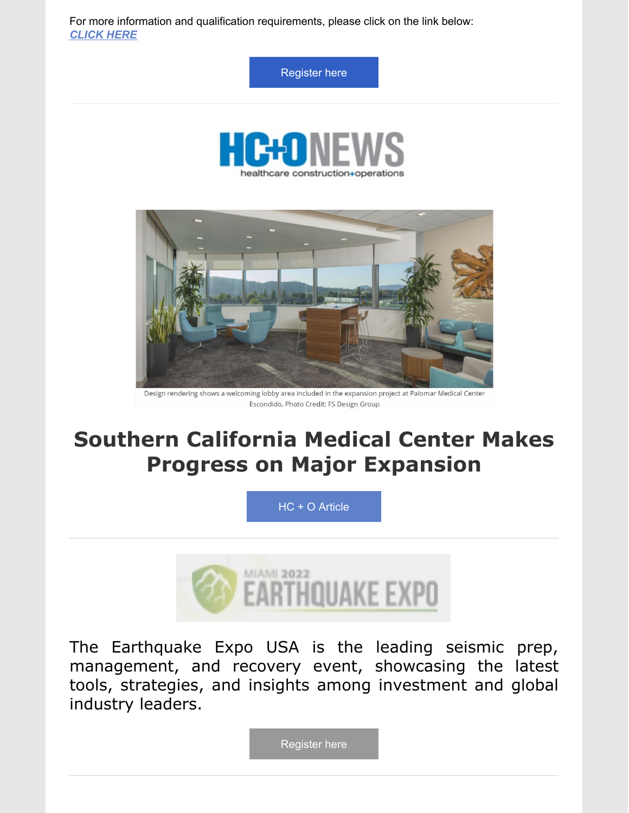For more information and qualification requirements, please click on the link below: *[CLICK](https://hcai.us3.list-manage.com/track/click?u=b5eac4ceeea1d878cfffc1696&id=3990fc4812&e=bf3938caab) HERE*

[Register](https://register.gotowebinar.com/register/487040090859091984) here





Design rendering shows a welcoming lobby area included in the expansion project at Palomar Medical Center Escondido. Photo Credit: FS Design Group

# **Southern California Medical Center Makes Progress on Major Expansion**

HC + O [Article](https://hconews.com/2022/01/18/southern-california-medical-center-makes-progress-on-major-expansion/)



The Earthquake Expo USA is the leading seismic prep, management, and recovery event, showcasing the latest tools, strategies, and insights among investment and global industry leaders.

[Register](https://registration.prysmgroup.com/Forms/Form.aspx?FormRef=NDE22Visitor) here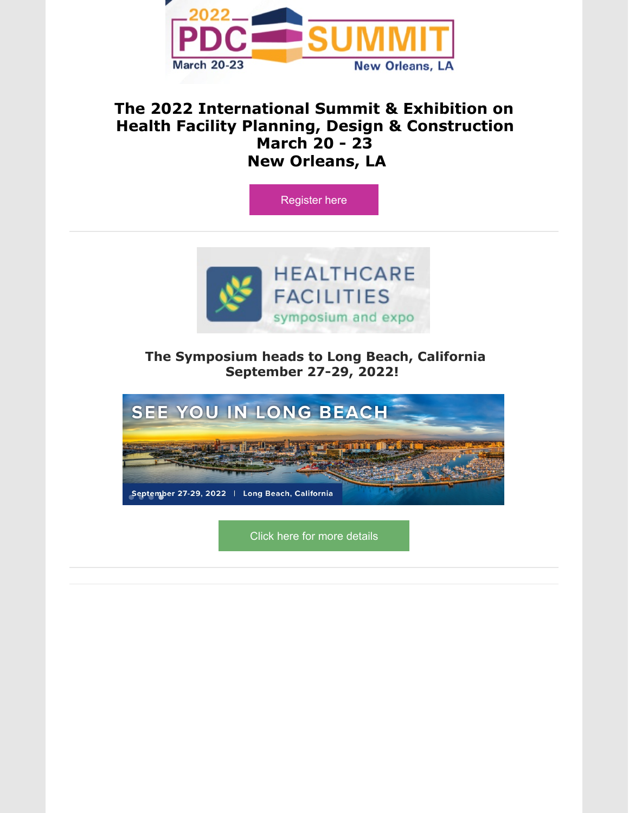

#### **The 2022 International Summit & Exhibition on Health Facility Planning, Design & Construction March 20 - 23 New Orleans, LA**





#### **The Symposium heads to Long Beach, California September 27-29, 2022!**



Click here for more [details](https://www.hcarefacilities.com/destination.asp)